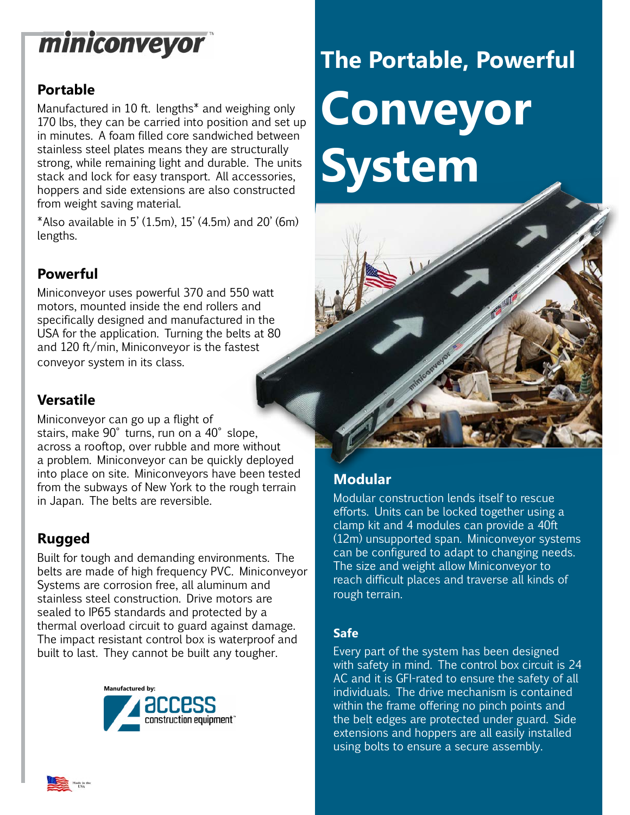## miniconveyor

#### **Portable**

Manufactured in 10 ft. lengths\* and weighing only 170 lbs, they can be carried into position and set up in minutes. A foam filled core sandwiched between stainless steel plates means they are structurally strong, while remaining light and durable. The units stack and lock for easy transport. All accessories, hoppers and side extensions are also constructed from weight saving material.

\*Also available in 5' (1.5m), 15' (4.5m) and 20' (6m) lengths.

#### **Powerful**

Miniconveyor uses powerful 370 and 550 watt motors, mounted inside the end rollers and specifically designed and manufactured in the USA for the application. Turning the belts at 80 and 120 ft/min, Miniconveyor is the fastest conveyor system in its class.

#### **Versatile**

Miniconveyor can go up a flight of stairs, make 90° turns, run on a 40° slope, across a rooftop, over rubble and more without a problem. Miniconveyor can be quickly deployed into place on site. Miniconveyors have been tested from the subways of New York to the rough terrain in Japan. The belts are reversible.

#### **Rugged**

Built for tough and demanding environments. The belts are made of high frequency PVC. Miniconveyor Systems are corrosion free, all aluminum and stainless steel construction. Drive motors are sealed to IP65 standards and protected by a thermal overload circuit to guard against damage. The impact resistant control box is waterproof and built to last. They cannot be built any tougher.



# **The Portable, Powerful Conveyor System**



### **Modular**

Modular construction lends itself to rescue efforts. Units can be locked together using a clamp kit and 4 modules can provide a 40ft (12m) unsupported span. Miniconveyor systems can be configured to adapt to changing needs. The size and weight allow Miniconveyor to reach difficult places and traverse all kinds of rough terrain.

#### **Safe**

Every part of the system has been designed with safety in mind. The control box circuit is 24 AC and it is GFI-rated to ensure the safety of all individuals. The drive mechanism is contained within the frame offering no pinch points and the belt edges are protected under guard. Side extensions and hoppers are all easily installed using bolts to ensure a secure assembly.